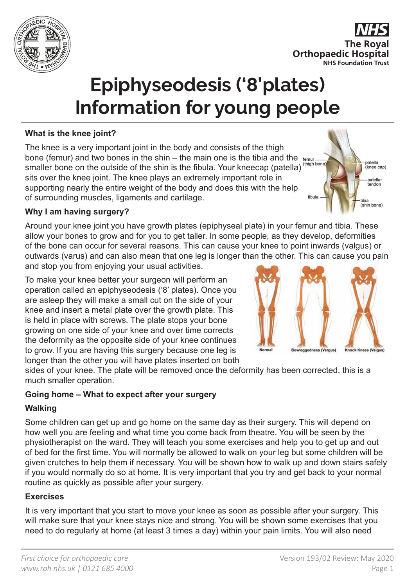

**The Roval Orthopaedic Hospital NHS Foundation Trust** 

patella<br>(knee cap)

atellar tendon

tibia (shin bone)

# **Epiphyseodesis ('8'plates) Information for young people**

# **What is the knee joint?**

The knee is a very important joint in the body and consists of the thigh bone (femur) and two bones in the shin – the main one is the tibia and the  $_{\text{femur}}$ smaller bone on the outside of the shin is the fibula. Your kneecap (patella) (thigh bone sits over the knee joint. The knee plays an extremely important role in supporting nearly the entire weight of the body and does this with the help of surrounding muscles, ligaments and cartilage.

#### **Why I am having surgery?**

Around your knee joint you have growth plates (epiphyseal plate) in your femur and tibia. These allow your bones to grow and for you to get taller. In some people, as they develop, deformities of the bone can occur for several reasons. This can cause your knee to point inwards (valgus) or outwards (varus) and can also mean that one leg is longer than the other. This can cause you pain and stop you from enjoying your usual activities.

To make your knee better your surgeon will perform an operation called an epiphyseodesis ('8' plates). Once you are asleep they will make a small cut on the side of your knee and insert a metal plate over the growth plate. This is held in place with screws. The plate stops your bone growing on one side of your knee and over time corrects the deformity as the opposite side of your knee continues to grow. If you are having this surgery because one leg is longer than the other you will have plates inserted on both



sides of your knee. The plate will be removed once the deformity has been corrected, this is a much smaller operation.

## **Going home – What to expect after your surgery**

## **Walking**

Some children can get up and go home on the same day as their surgery. This will depend on how well you are feeling and what time you come back from theatre. You will be seen by the physiotherapist on the ward. They will teach you some exercises and help you to get up and out of bed for the first time. You will normally be allowed to walk on your leg but some children will be given crutches to help them if necessary. You will be shown how to walk up and down stairs safely if you would normally do so at home. It is very important that you try and get back to your normal routine as quickly as possible after your surgery.

## **Exercises**

It is very important that you start to move your knee as soon as possible after your surgery. This will make sure that your knee stays nice and strong. You will be shown some exercises that you need to do regularly at home (at least 3 times a day) within your pain limits. You will also need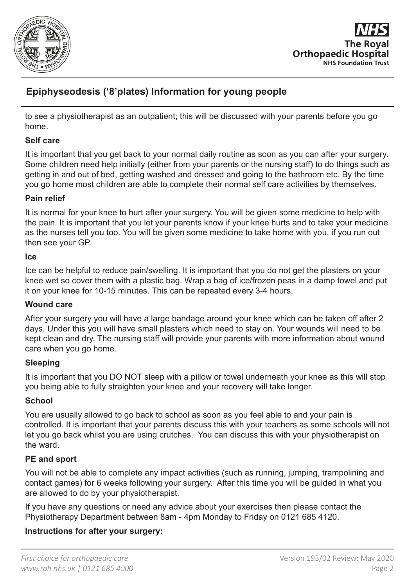



to see a physiotherapist as an outpatient; this will be discussed with your parents before you go home.

#### **Self care**

It is important that you get back to your normal daily routine as soon as you can after your surgery. Some children need help initially (either from your parents or the nursing staff) to do things such as getting in and out of bed, getting washed and dressed and going to the bathroom etc. By the time you go home most children are able to complete their normal self care activities by themselves.

#### **Pain relief**

It is normal for your knee to hurt after your surgery. You will be given some medicine to help with the pain. It is important that you let your parents know if your knee hurts and to take your medicine as the nurses tell you too. You will be given some medicine to take home with you, if you run out then see your GP.

#### **Ice**

Ice can be helpful to reduce pain/swelling. It is important that you do not get the plasters on your knee wet so cover them with a plastic bag. Wrap a bag of ice/frozen peas in a damp towel and put it on your knee for 10-15 minutes. This can be repeated every 3-4 hours.

#### **Wound care**

After your surgery you will have a large bandage around your knee which can be taken off after 2 days. Under this you will have small plasters which need to stay on. Your wounds will need to be kept clean and dry. The nursing staff will provide your parents with more information about wound care when you go home.

#### **Sleeping**

It is important that you DO NOT sleep with a pillow or towel underneath your knee as this will stop you being able to fully straighten your knee and your recovery will take longer.

#### **School**

You are usually allowed to go back to school as soon as you feel able to and your pain is controlled. It is important that your parents discuss this with your teachers as some schools will not let you go back whilst you are using crutches. You can discuss this with your physiotherapist on the ward.

## **PE and sport**

You will not be able to complete any impact activities (such as running, jumping, trampolining and contact games) for 6 weeks following your surgery. After this time you will be guided in what you are allowed to do by your physiotherapist.

If you have any questions or need any advice about your exercises then please contact the Physiotherapy Department between 8am - 4pm Monday to Friday on 0121 685 4120.

## **Instructions for after your surgery:**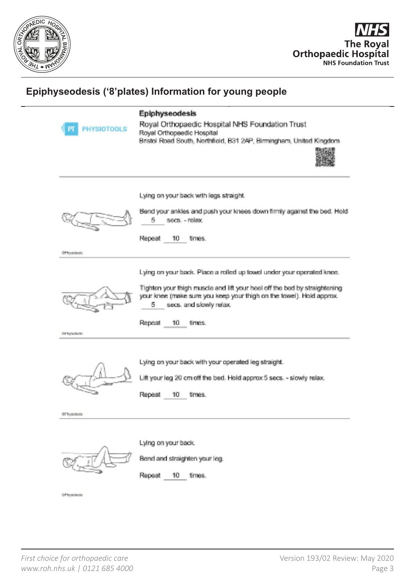



| PHYSIOTOOLS<br>РТ     | Epiphyseodesis<br>Royal Orthopaedic Hospital NHS Foundation Trust<br>Royal Orthopaedic Hospital<br>Bristol Road South, Northfield, B31 2AP, Birmingham, United Kingdom             |
|-----------------------|------------------------------------------------------------------------------------------------------------------------------------------------------------------------------------|
|                       | Lying on your back with legs straight.<br>Bend your ankles and push your knees down firmly against the bed. Hold                                                                   |
|                       | secs. - relex.<br>5<br>Repeat<br>10.<br>times.                                                                                                                                     |
| <b>Of Indotedo</b>    |                                                                                                                                                                                    |
|                       | Lying on your back. Place a rolled up towel under your operated knee.                                                                                                              |
|                       | Tighten your thigh muscle and lift your heal off the bed by straightening<br>your knee (make sure you keep your thigh on the towel). Hold approx.<br>5.<br>secs, and slowly relax. |
| CFRysolate.           | Repeat<br>10.<br>times.                                                                                                                                                            |
|                       |                                                                                                                                                                                    |
|                       | Lying on your back with your operated leg straight.                                                                                                                                |
|                       | Lift your leg 20 cm off the bed. Hold approx 5 secs. - slowly relax.                                                                                                               |
|                       | Repeat<br>10.<br>times.                                                                                                                                                            |
| <b>ST Transfering</b> |                                                                                                                                                                                    |
|                       |                                                                                                                                                                                    |
|                       | Lying on your back.                                                                                                                                                                |
|                       | Bend and straighten your leg.                                                                                                                                                      |
|                       | Repeat 10<br>times.                                                                                                                                                                |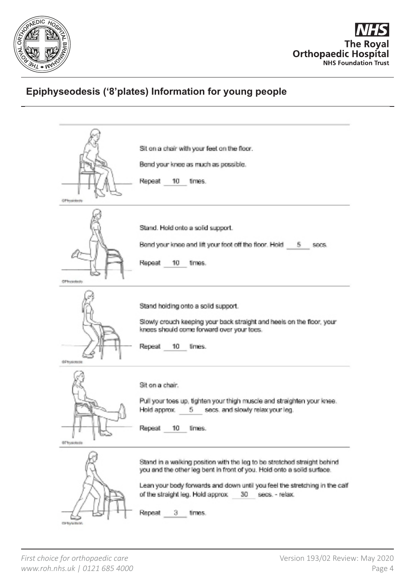